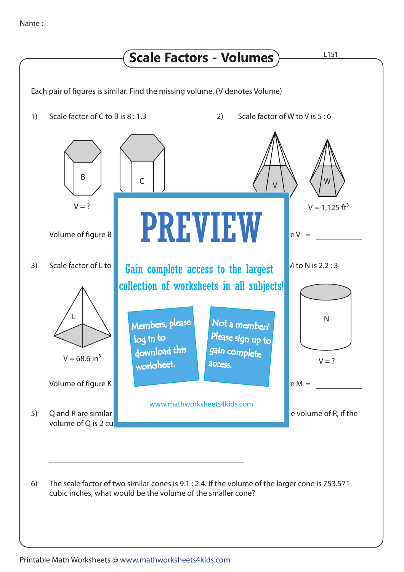